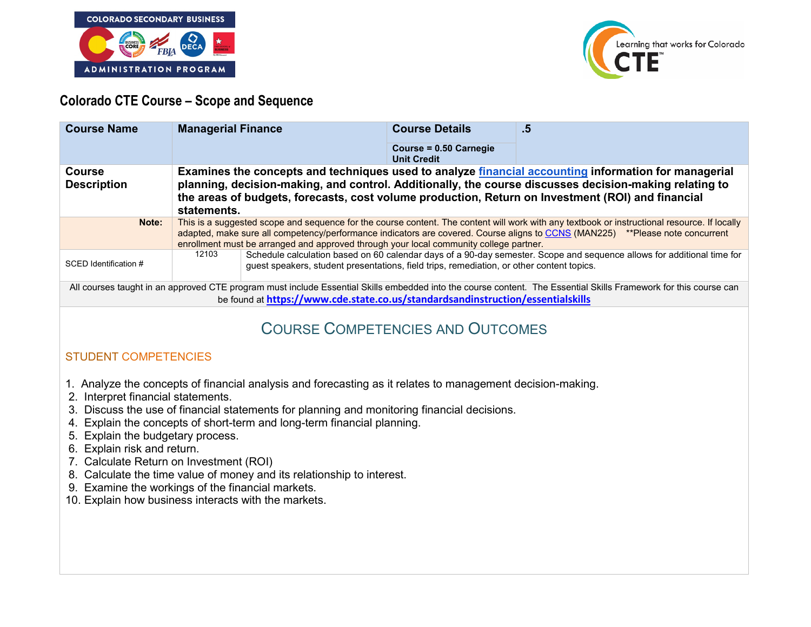



# **Colorado CTE Course – Scope and Sequence**

| <b>Course Name</b>                                                                                                                                                                                                                                  | <b>Managerial Finance</b>                                                                                                                                                                                                                                                                                                                                               |                                                                                           | <b>Course Details</b><br>Course = 0.50 Carnegie<br><b>Unit Credit</b> | .5                                                                                                                     |
|-----------------------------------------------------------------------------------------------------------------------------------------------------------------------------------------------------------------------------------------------------|-------------------------------------------------------------------------------------------------------------------------------------------------------------------------------------------------------------------------------------------------------------------------------------------------------------------------------------------------------------------------|-------------------------------------------------------------------------------------------|-----------------------------------------------------------------------|------------------------------------------------------------------------------------------------------------------------|
| Course<br><b>Description</b>                                                                                                                                                                                                                        | Examines the concepts and techniques used to analyze financial accounting information for managerial<br>planning, decision-making, and control. Additionally, the course discusses decision-making relating to<br>the areas of budgets, forecasts, cost volume production, Return on Investment (ROI) and financial<br>statements.                                      |                                                                                           |                                                                       |                                                                                                                        |
| Note:                                                                                                                                                                                                                                               | This is a suggested scope and sequence for the course content. The content will work with any textbook or instructional resource. If locally<br>adapted, make sure all competency/performance indicators are covered. Course aligns to CCNS (MAN225) **Please note concurrent<br>enrollment must be arranged and approved through your local community college partner. |                                                                                           |                                                                       |                                                                                                                        |
| SCED Identification #                                                                                                                                                                                                                               | 12103                                                                                                                                                                                                                                                                                                                                                                   | guest speakers, student presentations, field trips, remediation, or other content topics. |                                                                       | Schedule calculation based on 60 calendar days of a 90-day semester. Scope and sequence allows for additional time for |
| All courses taught in an approved CTE program must include Essential Skills embedded into the course content. The Essential Skills Framework for this course can<br>be found at https://www.cde.state.co.us/standardsandinstruction/essentialskills |                                                                                                                                                                                                                                                                                                                                                                         |                                                                                           |                                                                       |                                                                                                                        |

# COURSE COMPETENCIES AND OUTCOMES

# STUDENT COMPETENCIES

- 1. Analyze the concepts of financial analysis and forecasting as it relates to management decision-making.
- 2. Interpret financial statements.
- 3. Discuss the use of financial statements for planning and monitoring financial decisions.
- 4. Explain the concepts of short-term and long-term financial planning.
- 5. Explain the budgetary process.
- 6. Explain risk and return.
- 7. Calculate Return on Investment (ROI)
- 8. Calculate the time value of money and its relationship to interest.
- 9. Examine the workings of the financial markets.
- 10. Explain how business interacts with the markets.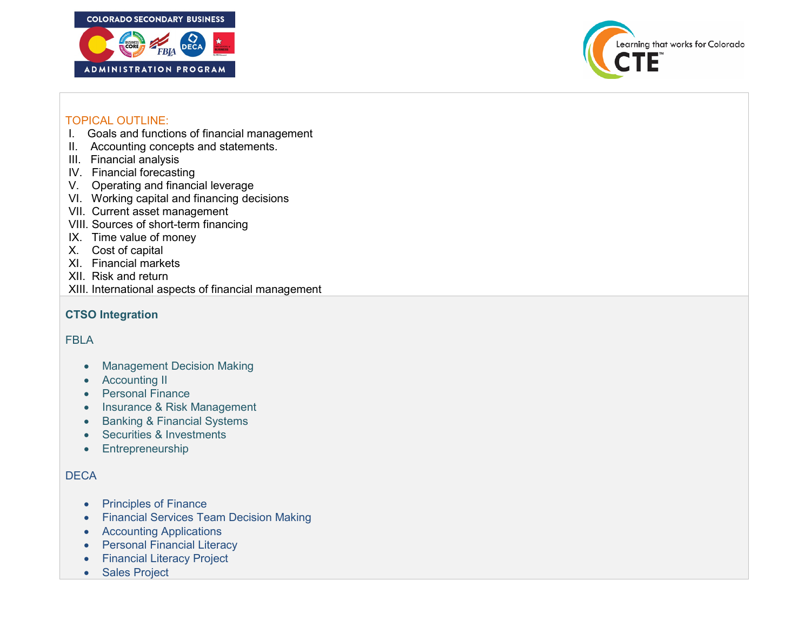



#### TOPICAL OUTLINE:

- I. Goals and functions of financial management
- II. Accounting concepts and statements.
- III. Financial analysis
- IV. Financial forecasting
- V. Operating and financial leverage
- VI. Working capital and financing decisions
- VII. Current asset management
- VIII. Sources of short-term financing
- IX. Time value of money
- X. Cost of capital
- XI. Financial markets
- XII. Risk and return
- XIII. International aspects of financial management

# **CTSO Integration**

# FBLA

- Management Decision Making
- Accounting II
- Personal Finance
- Insurance & Risk Management
- Banking & Financial Systems
- Securities & Investments
- Entrepreneurship

# **DECA**

- Principles of Finance
- Financial Services Team Decision Making
- Accounting Applications
- Personal Financial Literacy
- Financial Literacy Project
- Sales Project